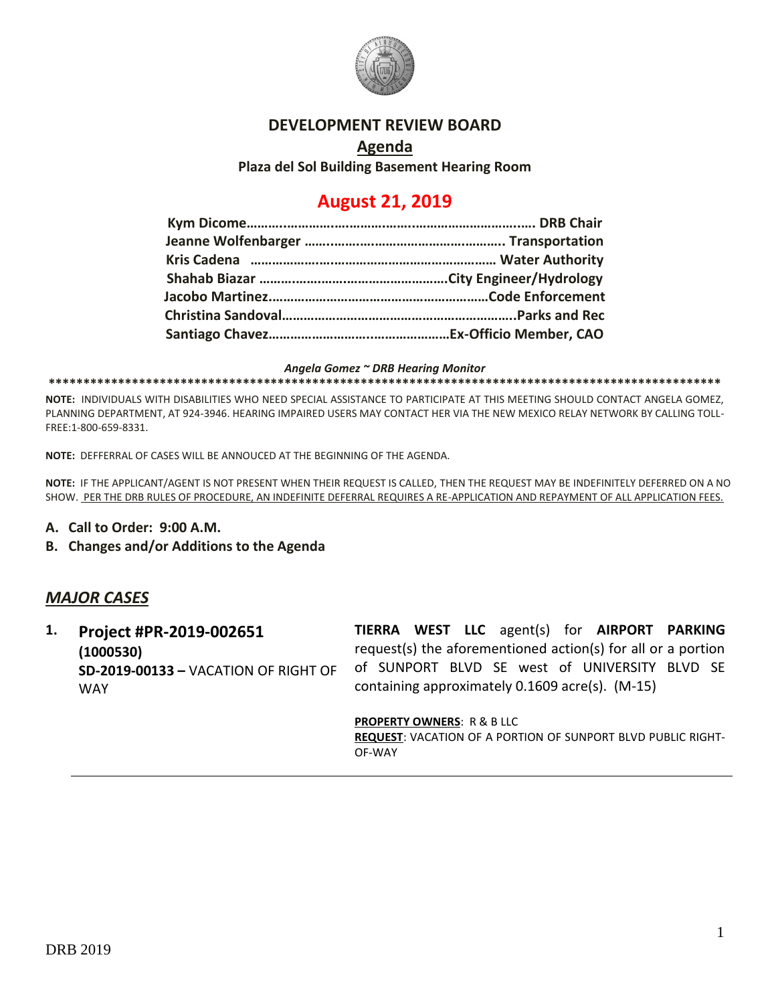

## **DEVELOPMENT REVIEW BOARD**

**Agenda Plaza del Sol Building Basement Hearing Room**

# **August 21, 2019**

*Angela Gomez ~ DRB Hearing Monitor*

**\*\*\*\*\*\*\*\*\*\*\*\*\*\*\*\*\*\*\*\*\*\*\*\*\*\*\*\*\*\*\*\*\*\*\*\*\*\*\*\*\*\*\*\*\*\*\*\*\*\*\*\*\*\*\*\*\*\*\*\*\*\*\*\*\*\*\*\*\*\*\*\*\*\*\*\*\*\*\*\*\*\*\*\*\*\*\*\*\*\*\*\*\*\*\*\*\***

**NOTE:** INDIVIDUALS WITH DISABILITIES WHO NEED SPECIAL ASSISTANCE TO PARTICIPATE AT THIS MEETING SHOULD CONTACT ANGELA GOMEZ, PLANNING DEPARTMENT, AT 924-3946. HEARING IMPAIRED USERS MAY CONTACT HER VIA THE NEW MEXICO RELAY NETWORK BY CALLING TOLL-FREE:1-800-659-8331.

**NOTE:** DEFFERRAL OF CASES WILL BE ANNOUCED AT THE BEGINNING OF THE AGENDA.

**NOTE:** IF THE APPLICANT/AGENT IS NOT PRESENT WHEN THEIR REQUEST IS CALLED, THEN THE REQUEST MAY BE INDEFINITELY DEFERRED ON A NO SHOW. PER THE DRB RULES OF PROCEDURE, AN INDEFINITE DEFERRAL REQUIRES A RE-APPLICATION AND REPAYMENT OF ALL APPLICATION FEES.

- **A. Call to Order: 9:00 A.M.**
- **B. Changes and/or Additions to the Agenda**

## *MAJOR CASES*

**1. Project #PR-2019-002651 (1000530) SD-2019-00133 –** VACATION OF RIGHT OF WAY

**TIERRA WEST LLC** agent(s) for **AIRPORT PARKING** request(s) the aforementioned action(s) for all or a portion of SUNPORT BLVD SE west of UNIVERSITY BLVD SE containing approximately 0.1609 acre(s). (M-15)

**PROPERTY OWNERS**: R & B LLC

**REQUEST**: VACATION OF A PORTION OF SUNPORT BLVD PUBLIC RIGHT-OF-WAY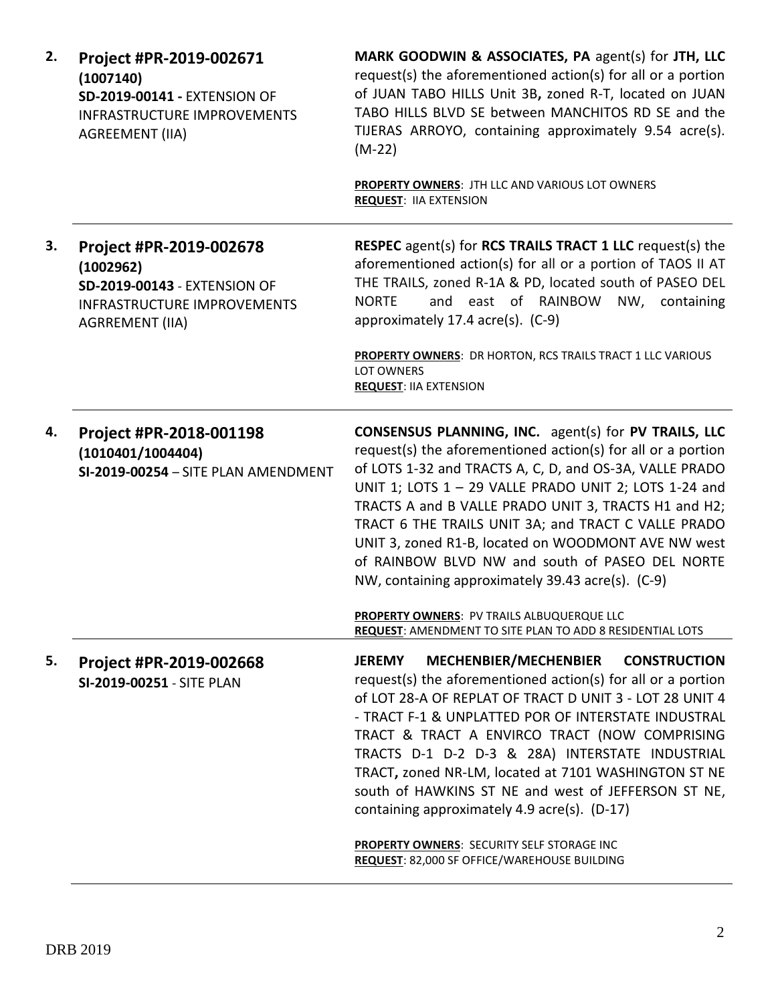| 2. | Project #PR-2019-002671<br>(1007140)<br>SD-2019-00141 - EXTENSION OF<br><b>INFRASTRUCTURE IMPROVEMENTS</b><br><b>AGREEMENT (IIA)</b> | MARK GOODWIN & ASSOCIATES, PA agent(s) for JTH, LLC<br>request(s) the aforementioned action(s) for all or a portion<br>of JUAN TABO HILLS Unit 3B, zoned R-T, located on JUAN<br>TABO HILLS BLVD SE between MANCHITOS RD SE and the<br>TIJERAS ARROYO, containing approximately 9.54 acre(s).<br>$(M-22)$                                                                                                                                                                                                                     |
|----|--------------------------------------------------------------------------------------------------------------------------------------|-------------------------------------------------------------------------------------------------------------------------------------------------------------------------------------------------------------------------------------------------------------------------------------------------------------------------------------------------------------------------------------------------------------------------------------------------------------------------------------------------------------------------------|
|    |                                                                                                                                      | PROPERTY OWNERS: JTH LLC AND VARIOUS LOT OWNERS<br><b>REQUEST: IIA EXTENSION</b>                                                                                                                                                                                                                                                                                                                                                                                                                                              |
| 3. | Project #PR-2019-002678<br>(1002962)<br>SD-2019-00143 - EXTENSION OF<br><b>INFRASTRUCTURE IMPROVEMENTS</b><br><b>AGRREMENT (IIA)</b> | <b>RESPEC</b> agent(s) for <b>RCS TRAILS TRACT 1 LLC</b> request(s) the<br>aforementioned action(s) for all or a portion of TAOS II AT<br>THE TRAILS, zoned R-1A & PD, located south of PASEO DEL<br>and east of RAINBOW NW, containing<br><b>NORTE</b><br>approximately 17.4 acre(s). (C-9)<br>PROPERTY OWNERS: DR HORTON, RCS TRAILS TRACT 1 LLC VARIOUS<br><b>LOT OWNERS</b>                                                                                                                                               |
|    |                                                                                                                                      | <b>REQUEST: IIA EXTENSION</b>                                                                                                                                                                                                                                                                                                                                                                                                                                                                                                 |
| 4. | Project #PR-2018-001198<br>(1010401/1004404)<br>SI-2019-00254 - SITE PLAN AMENDMENT                                                  | <b>CONSENSUS PLANNING, INC.</b> agent(s) for PV TRAILS, LLC<br>request(s) the aforementioned action(s) for all or a portion<br>of LOTS 1-32 and TRACTS A, C, D, and OS-3A, VALLE PRADO<br>UNIT 1; LOTS 1 - 29 VALLE PRADO UNIT 2; LOTS 1-24 and<br>TRACTS A and B VALLE PRADO UNIT 3, TRACTS H1 and H2;<br>TRACT 6 THE TRAILS UNIT 3A; and TRACT C VALLE PRADO<br>UNIT 3, zoned R1-B, located on WOODMONT AVE NW west<br>of RAINBOW BLVD NW and south of PASEO DEL NORTE<br>NW, containing approximately 39.43 acre(s). (C-9) |
|    |                                                                                                                                      | PROPERTY OWNERS: PV TRAILS ALBUQUERQUE LLC<br>REQUEST: AMENDMENT TO SITE PLAN TO ADD 8 RESIDENTIAL LOTS                                                                                                                                                                                                                                                                                                                                                                                                                       |
| 5. | Project #PR-2019-002668<br>SI-2019-00251 - SITE PLAN                                                                                 | MECHENBIER/MECHENBIER<br><b>CONSTRUCTION</b><br><b>JEREMY</b><br>request(s) the aforementioned action(s) for all or a portion<br>of LOT 28-A OF REPLAT OF TRACT D UNIT 3 - LOT 28 UNIT 4<br>- TRACT F-1 & UNPLATTED POR OF INTERSTATE INDUSTRAL<br>TRACT & TRACT A ENVIRCO TRACT (NOW COMPRISING<br>TRACTS D-1 D-2 D-3 & 28A) INTERSTATE INDUSTRIAL<br>TRACT, zoned NR-LM, located at 7101 WASHINGTON ST NE<br>south of HAWKINS ST NE and west of JEFFERSON ST NE,<br>containing approximately 4.9 acre(s). (D-17)            |
|    |                                                                                                                                      | PROPERTY OWNERS: SECURITY SELF STORAGE INC<br>REQUEST: 82,000 SF OFFICE/WAREHOUSE BUILDING                                                                                                                                                                                                                                                                                                                                                                                                                                    |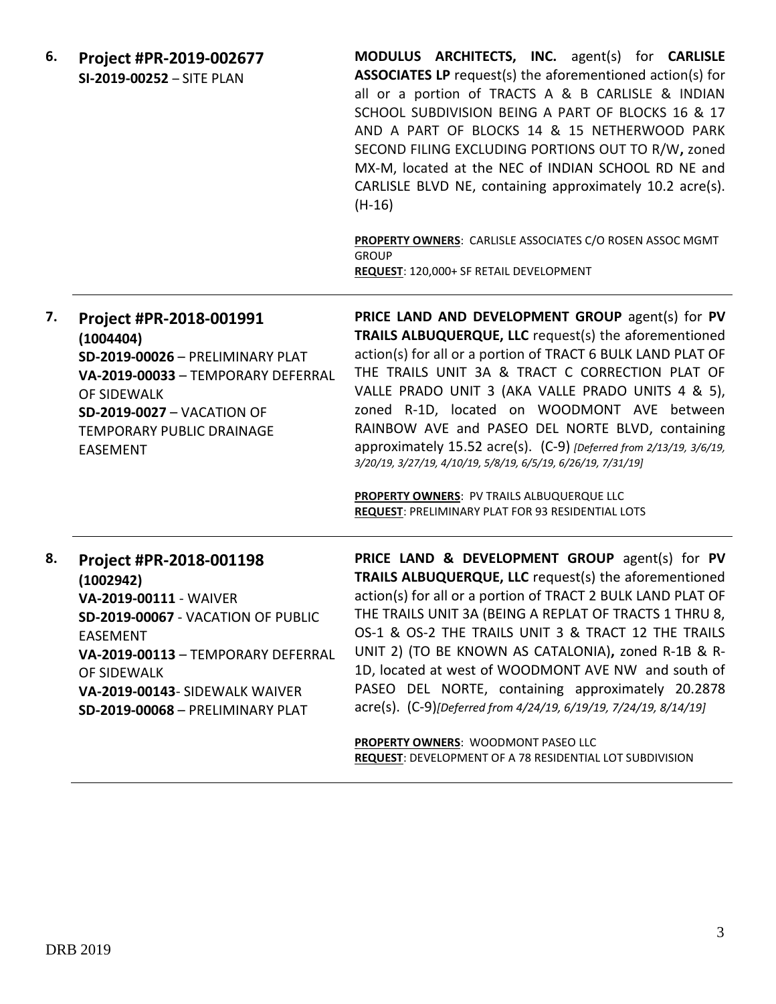| 6. | Project #PR-2019-002677<br>SI-2019-00252 - SITE PLAN                                                                                                                                                                                               | MODULUS ARCHITECTS, INC. agent(s) for CARLISLE<br><b>ASSOCIATES LP</b> request(s) the aforementioned action(s) for<br>all or a portion of TRACTS A & B CARLISLE & INDIAN<br>SCHOOL SUBDIVISION BEING A PART OF BLOCKS 16 & 17<br>AND A PART OF BLOCKS 14 & 15 NETHERWOOD PARK<br>SECOND FILING EXCLUDING PORTIONS OUT TO R/W, zoned<br>MX-M, located at the NEC of INDIAN SCHOOL RD NE and<br>CARLISLE BLVD NE, containing approximately 10.2 acre(s).<br>$(H-16)$                                                                                                                                                                  |
|----|----------------------------------------------------------------------------------------------------------------------------------------------------------------------------------------------------------------------------------------------------|-------------------------------------------------------------------------------------------------------------------------------------------------------------------------------------------------------------------------------------------------------------------------------------------------------------------------------------------------------------------------------------------------------------------------------------------------------------------------------------------------------------------------------------------------------------------------------------------------------------------------------------|
|    |                                                                                                                                                                                                                                                    | PROPERTY OWNERS: CARLISLE ASSOCIATES C/O ROSEN ASSOC MGMT<br><b>GROUP</b><br>REQUEST: 120,000+ SF RETAIL DEVELOPMENT                                                                                                                                                                                                                                                                                                                                                                                                                                                                                                                |
| 7. | Project #PR-2018-001991<br>(1004404)<br>SD-2019-00026 - PRELIMINARY PLAT<br>VA-2019-00033 - TEMPORARY DEFERRAL<br>OF SIDEWALK<br><b>SD-2019-0027 - VACATION OF</b><br><b>TEMPORARY PUBLIC DRAINAGE</b><br><b>EASEMENT</b>                          | PRICE LAND AND DEVELOPMENT GROUP agent(s) for PV<br>TRAILS ALBUQUERQUE, LLC request(s) the aforementioned<br>action(s) for all or a portion of TRACT 6 BULK LAND PLAT OF<br>THE TRAILS UNIT 3A & TRACT C CORRECTION PLAT OF<br>VALLE PRADO UNIT 3 (AKA VALLE PRADO UNITS 4 & 5),<br>zoned R-1D, located on WOODMONT AVE between<br>RAINBOW AVE and PASEO DEL NORTE BLVD, containing<br>approximately 15.52 acre(s). (C-9) [Deferred from 2/13/19, 3/6/19,<br>3/20/19, 3/27/19, 4/10/19, 5/8/19, 6/5/19, 6/26/19, 7/31/19]<br>PROPERTY OWNERS: PV TRAILS ALBUQUERQUE LLC<br><b>REQUEST: PRELIMINARY PLAT FOR 93 RESIDENTIAL LOTS</b> |
| 8. | Project #PR-2018-001198<br>(1002942)<br>VA-2019-00111 - WAIVER<br>SD-2019-00067 - VACATION OF PUBLIC<br><b>EASEMENT</b><br>VA-2019-00113 - TEMPORARY DEFERRAL<br>OF SIDEWALK<br>VA-2019-00143- SIDEWALK WAIVER<br>SD-2019-00068 - PRELIMINARY PLAT | PRICE LAND & DEVELOPMENT GROUP agent(s) for PV<br>TRAILS ALBUQUERQUE, LLC request(s) the aforementioned<br>action(s) for all or a portion of TRACT 2 BULK LAND PLAT OF<br>THE TRAILS UNIT 3A (BEING A REPLAT OF TRACTS 1 THRU 8,<br>OS-1 & OS-2 THE TRAILS UNIT 3 & TRACT 12 THE TRAILS<br>UNIT 2) (TO BE KNOWN AS CATALONIA), zoned R-1B & R-<br>1D, located at west of WOODMONT AVE NW and south of<br>PASEO DEL NORTE, containing approximately 20.2878<br>acre(s). (C-9)[Deferred from 4/24/19, 6/19/19, 7/24/19, 8/14/19]                                                                                                      |
|    |                                                                                                                                                                                                                                                    | PROPERTY OWNERS: WOODMONT PASEO LLC                                                                                                                                                                                                                                                                                                                                                                                                                                                                                                                                                                                                 |

**REQUEST**: DEVELOPMENT OF A 78 RESIDENTIAL LOT SUBDIVISION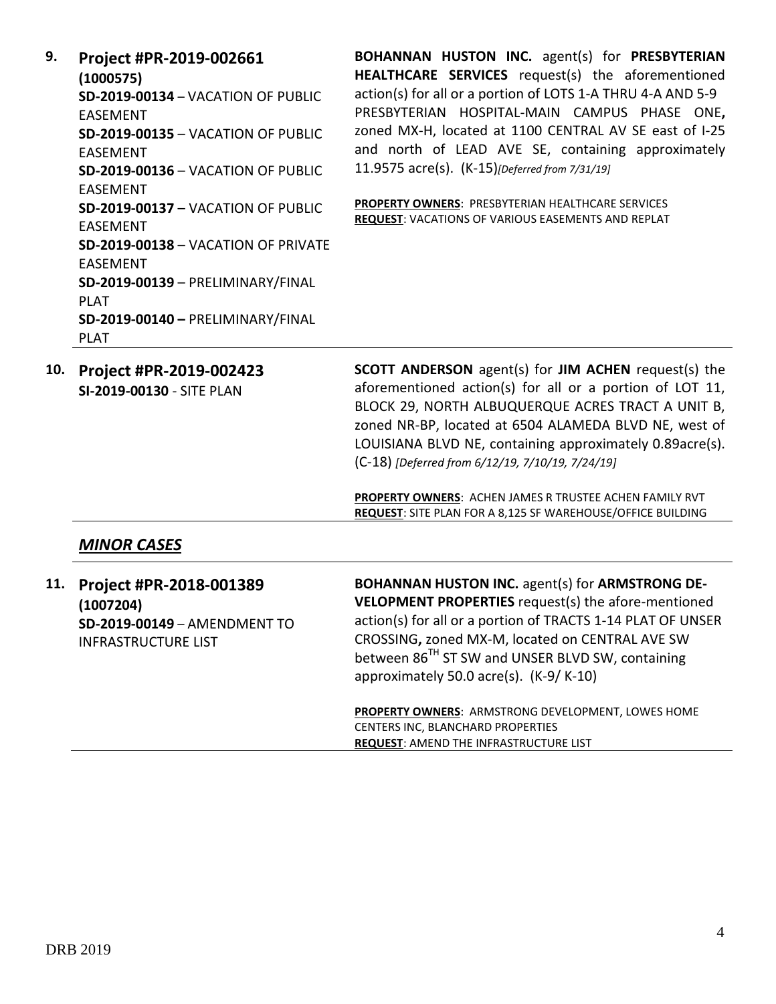**9. Project #PR-2019-002661 (1000575) SD-2019-00134** – VACATION OF PUBLIC EASEMENT **SD-2019-00135** – VACATION OF PUBLIC EASEMENT **SD-2019-00136** – VACATION OF PUBLIC EASEMENT **SD-2019-00137** – VACATION OF PUBLIC EASEMENT **SD-2019-00138** – VACATION OF PRIVATE EASEMENT **SD-2019-00139** – PRELIMINARY/FINAL PLAT **SD-2019-00140 –** PRELIMINARY/FINAL PLAT

**BOHANNAN HUSTON INC.** agent(s) for **PRESBYTERIAN HEALTHCARE SERVICES** request(s) the aforementioned action(s) for all or a portion of LOTS 1-A THRU 4-A AND 5-9 PRESBYTERIAN HOSPITAL-MAIN CAMPUS PHASE ONE**,**  zoned MX-H, located at 1100 CENTRAL AV SE east of I-25 and north of LEAD AVE SE, containing approximately 11.9575 acre(s). (K-15)*[Deferred from 7/31/19]*

**PROPERTY OWNERS**: PRESBYTERIAN HEALTHCARE SERVICES **REQUEST**: VACATIONS OF VARIOUS EASEMENTS AND REPLAT

**10. Project #PR-2019-002423 SI-2019-00130** - SITE PLAN **SCOTT ANDERSON** agent(s) for **JIM ACHEN** request(s) the aforementioned action(s) for all or a portion of LOT 11, BLOCK 29, NORTH ALBUQUERQUE ACRES TRACT A UNIT B, zoned NR-BP, located at 6504 ALAMEDA BLVD NE, west of LOUISIANA BLVD NE, containing approximately 0.89acre(s). (C-18) *[Deferred from 6/12/19, 7/10/19, 7/24/19]*

> **PROPERTY OWNERS**: ACHEN JAMES R TRUSTEE ACHEN FAMILY RVT **REQUEST**: SITE PLAN FOR A 8,125 SF WAREHOUSE/OFFICE BUILDING

# *MINOR CASES*

| 11. | Project #PR-2018-001389<br>(1007204)<br>SD-2019-00149 - AMENDMENT TO<br><b>INFRASTRUCTURE LIST</b> | <b>BOHANNAN HUSTON INC.</b> agent(s) for <b>ARMSTRONG DE-</b><br>VELOPMENT PROPERTIES request(s) the afore-mentioned<br>action(s) for all or a portion of TRACTS 1-14 PLAT OF UNSER<br>CROSSING, zoned MX-M, located on CENTRAL AVE SW<br>between 86 <sup>TH</sup> ST SW and UNSER BLVD SW, containing<br>approximately 50.0 acre(s). (K-9/K-10) |
|-----|----------------------------------------------------------------------------------------------------|--------------------------------------------------------------------------------------------------------------------------------------------------------------------------------------------------------------------------------------------------------------------------------------------------------------------------------------------------|
|     |                                                                                                    | <b>PROPERTY OWNERS: ARMSTRONG DEVELOPMENT, LOWES HOME</b><br>CENTERS INC, BLANCHARD PROPERTIES<br><b>REQUEST: AMEND THE INFRASTRUCTURE LIST</b>                                                                                                                                                                                                  |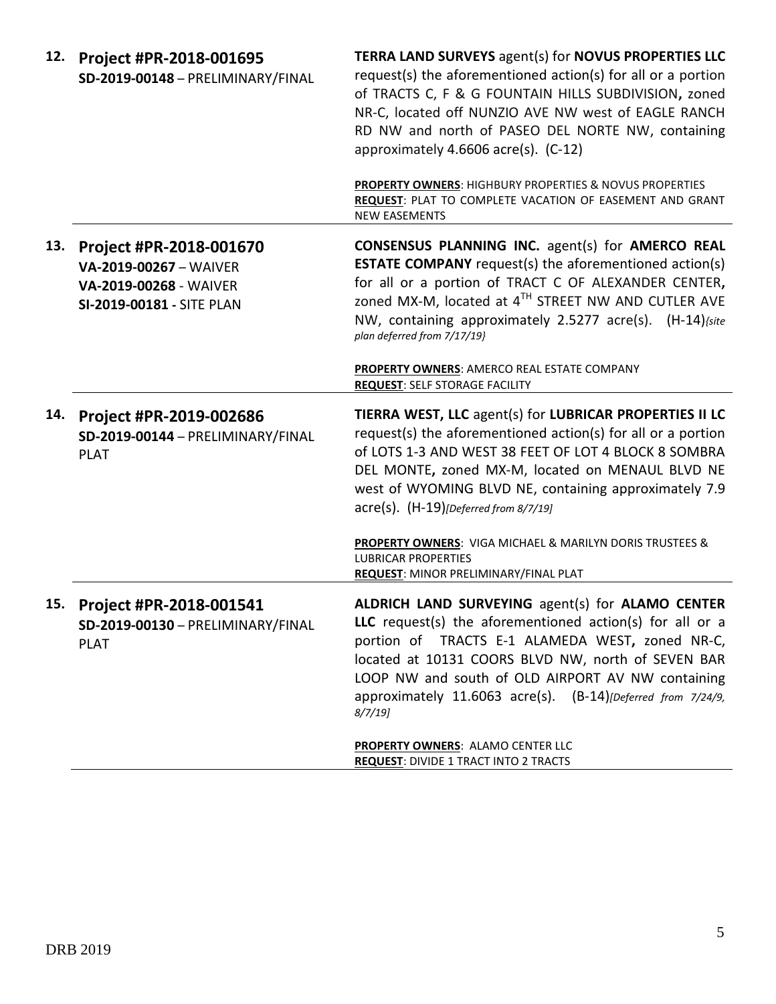| 12. | Project #PR-2018-001695<br>SD-2019-00148 - PRELIMINARY/FINAL                                             | <b>TERRA LAND SURVEYS agent(s) for NOVUS PROPERTIES LLC</b><br>request(s) the aforementioned action(s) for all or a portion<br>of TRACTS C, F & G FOUNTAIN HILLS SUBDIVISION, zoned<br>NR-C, located off NUNZIO AVE NW west of EAGLE RANCH<br>RD NW and north of PASEO DEL NORTE NW, containing<br>approximately 4.6606 acre(s). (C-12)                        |
|-----|----------------------------------------------------------------------------------------------------------|----------------------------------------------------------------------------------------------------------------------------------------------------------------------------------------------------------------------------------------------------------------------------------------------------------------------------------------------------------------|
|     |                                                                                                          | <b>PROPERTY OWNERS: HIGHBURY PROPERTIES &amp; NOVUS PROPERTIES</b><br>REQUEST: PLAT TO COMPLETE VACATION OF EASEMENT AND GRANT<br><b>NEW EASEMENTS</b>                                                                                                                                                                                                         |
| 13. | Project #PR-2018-001670<br>VA-2019-00267 - WAIVER<br>VA-2019-00268 - WAIVER<br>SI-2019-00181 - SITE PLAN | <b>CONSENSUS PLANNING INC.</b> agent(s) for <b>AMERCO REAL</b><br><b>ESTATE COMPANY</b> request(s) the aforementioned action(s)<br>for all or a portion of TRACT C OF ALEXANDER CENTER,<br>zoned MX-M, located at 4TH STREET NW AND CUTLER AVE<br>NW, containing approximately 2.5277 acre(s). (H-14) (site<br>plan deferred from 7/17/19}                     |
|     |                                                                                                          | PROPERTY OWNERS: AMERCO REAL ESTATE COMPANY<br><b>REQUEST: SELF STORAGE FACILITY</b>                                                                                                                                                                                                                                                                           |
| 14. | Project #PR-2019-002686<br>SD-2019-00144 - PRELIMINARY/FINAL<br><b>PLAT</b>                              | TIERRA WEST, LLC agent(s) for LUBRICAR PROPERTIES II LC<br>request(s) the aforementioned action(s) for all or a portion<br>of LOTS 1-3 AND WEST 38 FEET OF LOT 4 BLOCK 8 SOMBRA<br>DEL MONTE, zoned MX-M, located on MENAUL BLVD NE<br>west of WYOMING BLVD NE, containing approximately 7.9<br>$\text{acre}(s)$ . $(H-19)$ [Deferred from 8/7/19]             |
|     |                                                                                                          | PROPERTY OWNERS: VIGA MICHAEL & MARILYN DORIS TRUSTEES &<br><b>LUBRICAR PROPERTIES</b><br>REQUEST: MINOR PRELIMINARY/FINAL PLAT                                                                                                                                                                                                                                |
| 15. | Project #PR-2018-001541<br>SD-2019-00130 - PRELIMINARY/FINAL<br><b>PLAT</b>                              | ALDRICH LAND SURVEYING agent(s) for ALAMO CENTER<br><b>LLC</b> request(s) the aforementioned action(s) for all or a<br>portion of TRACTS E-1 ALAMEDA WEST, zoned NR-C,<br>located at 10131 COORS BLVD NW, north of SEVEN BAR<br>LOOP NW and south of OLD AIRPORT AV NW containing<br>approximately 11.6063 acre(s). (B-14)[Deferred from 7/24/9,<br>$8/7/19$ ] |
|     |                                                                                                          | <b>PROPERTY OWNERS: ALAMO CENTER LLC</b><br><b>REQUEST: DIVIDE 1 TRACT INTO 2 TRACTS</b>                                                                                                                                                                                                                                                                       |